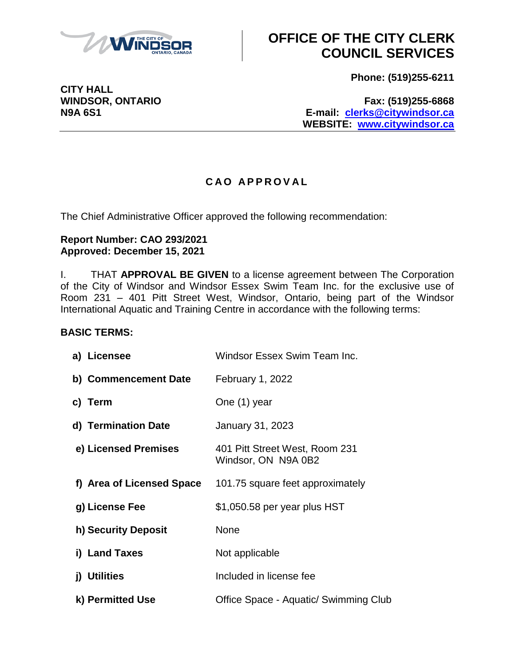

# **OFFICE OF THE CITY CLERK COUNCIL SERVICES**

**Phone: (519)255-6211**

**WINDSOR, ONTARIO Fax: (519)255-6868 N9A 6S1 E-mail: [clerks@citywindsor.ca](mailto:clerks@citywindsor.ca) WEBSITE: [www.citywindsor.ca](http://www.citywindsor.ca/)**

### **C A O A P P R O V A L**

The Chief Administrative Officer approved the following recommendation:

#### **Report Number: CAO 293/2021 Approved: December 15, 2021**

I. THAT **APPROVAL BE GIVEN** to a license agreement between The Corporation of the City of Windsor and Windsor Essex Swim Team Inc. for the exclusive use of Room 231 – 401 Pitt Street West, Windsor, Ontario, being part of the Windsor International Aquatic and Training Centre in accordance with the following terms:

### **BASIC TERMS:**

| Windsor Essex Swim Team Inc.                          |
|-------------------------------------------------------|
| <b>February 1, 2022</b>                               |
| One (1) year                                          |
| January 31, 2023                                      |
| 401 Pitt Street West, Room 231<br>Windsor, ON N9A 0B2 |
| 101.75 square feet approximately                      |
| \$1,050.58 per year plus HST                          |
| None                                                  |
| Not applicable                                        |
| Included in license fee                               |
| Office Space - Aquatic/ Swimming Club                 |
|                                                       |

**CITY HALL**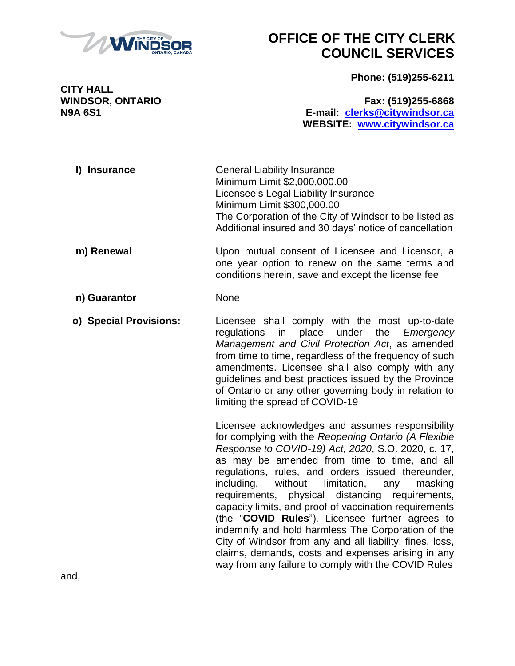

# **OFFICE OF THE CITY CLERK COUNCIL SERVICES**

**Phone: (519)255-6211**

**CITY HALL**

**WINDSOR, ONTARIO Fax: (519)255-6868 N9A 6S1 E-mail: [clerks@citywindsor.ca](mailto:clerks@citywindsor.ca) WEBSITE: [www.citywindsor.ca](http://www.citywindsor.ca/)**

| I) Insurance | <b>General Liability Insurance</b>                     |
|--------------|--------------------------------------------------------|
|              | Minimum Limit \$2,000,000.00                           |
|              | Licensee's Legal Liability Insurance                   |
|              | Minimum Limit \$300,000.00                             |
|              | The Corporation of the City of Windsor to be listed as |
|              | Additional insured and 30 days' notice of cancellation |
|              |                                                        |

- **m) Renewal** Upon mutual consent of Licensee and Licensor, a one year option to renew on the same terms and conditions herein, save and except the license fee
- **n) Guarantor** None
- **o) Special Provisions:** Licensee shall comply with the most up-to-date regulations in place under the *Emergency Management and Civil Protection Act*, as amended from time to time, regardless of the frequency of such amendments. Licensee shall also comply with any guidelines and best practices issued by the Province of Ontario or any other governing body in relation to

limiting the spread of COVID-19

Licensee acknowledges and assumes responsibility for complying with the *Reopening Ontario (A Flexible Response to COVID-19) Act, 2020*, S.O. 2020, c. 17, as may be amended from time to time, and all regulations, rules, and orders issued thereunder, including, without limitation, any masking requirements, physical distancing requirements, capacity limits, and proof of vaccination requirements (the "**COVID Rules**"). Licensee further agrees to indemnify and hold harmless The Corporation of the City of Windsor from any and all liability, fines, loss, claims, demands, costs and expenses arising in any way from any failure to comply with the COVID Rules

and,